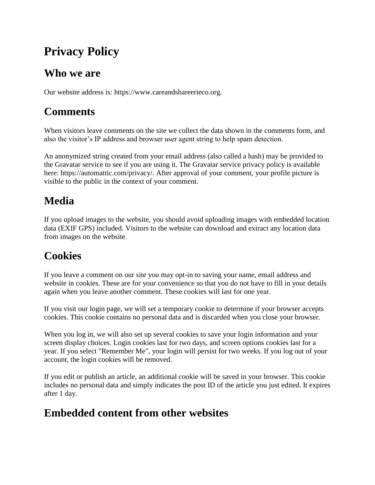# **Privacy Policy**

#### **Who we are**

Our website address is: https://www.careandshareerieco.org.

## **Comments**

When visitors leave comments on the site we collect the data shown in the comments form, and also the visitor's IP address and browser user agent string to help spam detection.

An anonymized string created from your email address (also called a hash) may be provided to the Gravatar service to see if you are using it. The Gravatar service privacy policy is available here: https://automattic.com/privacy/. After approval of your comment, your profile picture is visible to the public in the context of your comment.

# **Media**

If you upload images to the website, you should avoid uploading images with embedded location data (EXIF GPS) included. Visitors to the website can download and extract any location data from images on the website.

## **Cookies**

If you leave a comment on our site you may opt-in to saving your name, email address and website in cookies. These are for your convenience so that you do not have to fill in your details again when you leave another comment. These cookies will last for one year.

If you visit our login page, we will set a temporary cookie to determine if your browser accepts cookies. This cookie contains no personal data and is discarded when you close your browser.

When you log in, we will also set up several cookies to save your login information and your screen display choices. Login cookies last for two days, and screen options cookies last for a year. If you select "Remember Me", your login will persist for two weeks. If you log out of your account, the login cookies will be removed.

If you edit or publish an article, an additional cookie will be saved in your browser. This cookie includes no personal data and simply indicates the post ID of the article you just edited. It expires after 1 day.

### **Embedded content from other websites**